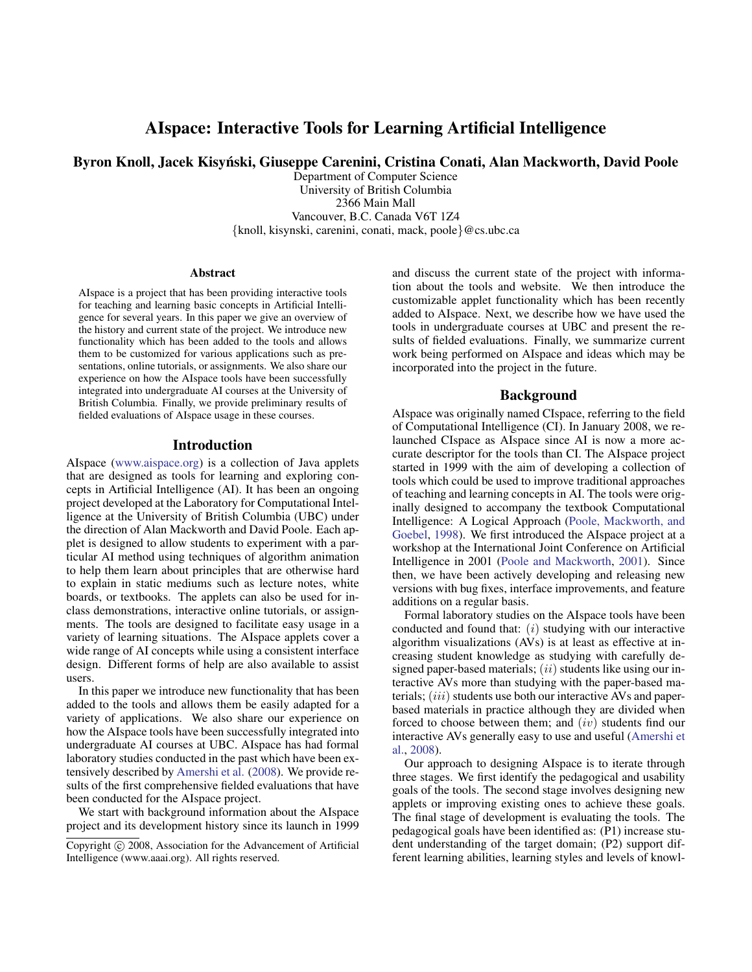# AIspace: Interactive Tools for Learning Artificial Intelligence

Byron Knoll, Jacek Kisynski, Giuseppe Carenini, Cristina Conati, Alan Mackworth, David Poole ´

Department of Computer Science University of British Columbia 2366 Main Mall Vancouver, B.C. Canada V6T 1Z4 {knoll, kisynski, carenini, conati, mack, poole}@cs.ubc.ca

#### Abstract

AIspace is a project that has been providing interactive tools for teaching and learning basic concepts in Artificial Intelligence for several years. In this paper we give an overview of the history and current state of the project. We introduce new functionality which has been added to the tools and allows them to be customized for various applications such as presentations, online tutorials, or assignments. We also share our experience on how the AIspace tools have been successfully integrated into undergraduate AI courses at the University of British Columbia. Finally, we provide preliminary results of fielded evaluations of AIspace usage in these courses.

#### Introduction

AIspace [\(www.aispace.org\)](http://www.aispace.org) is a collection of Java applets that are designed as tools for learning and exploring concepts in Artificial Intelligence (AI). It has been an ongoing project developed at the Laboratory for Computational Intelligence at the University of British Columbia (UBC) under the direction of Alan Mackworth and David Poole. Each applet is designed to allow students to experiment with a particular AI method using techniques of algorithm animation to help them learn about principles that are otherwise hard to explain in static mediums such as lecture notes, white boards, or textbooks. The applets can also be used for inclass demonstrations, interactive online tutorials, or assignments. The tools are designed to facilitate easy usage in a variety of learning situations. The AIspace applets cover a wide range of AI concepts while using a consistent interface design. Different forms of help are also available to assist users.

In this paper we introduce new functionality that has been added to the tools and allows them be easily adapted for a variety of applications. We also share our experience on how the AIspace tools have been successfully integrated into undergraduate AI courses at UBC. AIspace has had formal laboratory studies conducted in the past which have been extensively described by [Amershi et al.](#page-5-0) [\(2008\)](#page-5-0). We provide results of the first comprehensive fielded evaluations that have been conducted for the AIspace project.

We start with background information about the AIspace project and its development history since its launch in 1999 and discuss the current state of the project with information about the tools and website. We then introduce the customizable applet functionality which has been recently added to AIspace. Next, we describe how we have used the tools in undergraduate courses at UBC and present the results of fielded evaluations. Finally, we summarize current work being performed on AIspace and ideas which may be incorporated into the project in the future.

## Background

AIspace was originally named CIspace, referring to the field of Computational Intelligence (CI). In January 2008, we relaunched CIspace as AIspace since AI is now a more accurate descriptor for the tools than CI. The AIspace project started in 1999 with the aim of developing a collection of tools which could be used to improve traditional approaches of teaching and learning concepts in AI. The tools were originally designed to accompany the textbook Computational Intelligence: A Logical Approach [\(Poole, Mackworth, and](#page-5-1) [Goebel,](#page-5-1) [1998\)](#page-5-1). We first introduced the AIspace project at a workshop at the International Joint Conference on Artificial Intelligence in 2001 [\(Poole and Mackworth,](#page-5-2) [2001\)](#page-5-2). Since then, we have been actively developing and releasing new versions with bug fixes, interface improvements, and feature additions on a regular basis.

Formal laboratory studies on the AIspace tools have been conducted and found that:  $(i)$  studying with our interactive algorithm visualizations (AVs) is at least as effective at increasing student knowledge as studying with carefully designed paper-based materials;  $(ii)$  students like using our interactive AVs more than studying with the paper-based materials; *(iii)* students use both our interactive AVs and paperbased materials in practice although they are divided when forced to choose between them; and  $(iv)$  students find our interactive AVs generally easy to use and useful [\(Amershi et](#page-5-0) [al.,](#page-5-0) [2008\)](#page-5-0).

Our approach to designing AIspace is to iterate through three stages. We first identify the pedagogical and usability goals of the tools. The second stage involves designing new applets or improving existing ones to achieve these goals. The final stage of development is evaluating the tools. The pedagogical goals have been identified as: (P1) increase student understanding of the target domain; (P2) support different learning abilities, learning styles and levels of knowl-

Copyright (c) 2008, Association for the Advancement of Artificial Intelligence (www.aaai.org). All rights reserved.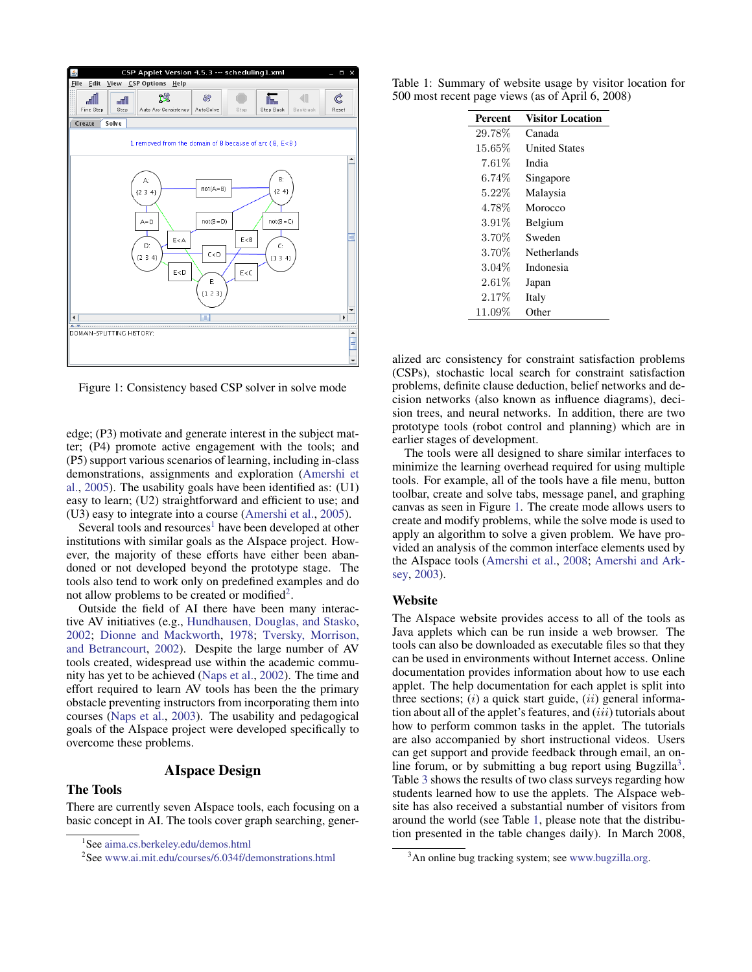

<span id="page-1-2"></span>Figure 1: Consistency based CSP solver in solve mode

edge; (P3) motivate and generate interest in the subject matter; (P4) promote active engagement with the tools; and (P5) support various scenarios of learning, including in-class demonstrations, assignments and exploration [\(Amershi et](#page-5-3) [al.,](#page-5-3) [2005\)](#page-5-3). The usability goals have been identified as: (U1) easy to learn; (U2) straightforward and efficient to use; and (U3) easy to integrate into a course [\(Amershi et al.,](#page-5-3) [2005\)](#page-5-3).

Several tools and resources<sup>[1](#page-1-0)</sup> have been developed at other institutions with similar goals as the AIspace project. However, the majority of these efforts have either been abandoned or not developed beyond the prototype stage. The tools also tend to work only on predefined examples and do not allow problems to be created or modified<sup>[2](#page-1-1)</sup>.

Outside the field of AI there have been many interactive AV initiatives (e.g., [Hundhausen, Douglas, and Stasko,](#page-5-4) [2002;](#page-5-4) [Dionne and Mackworth,](#page-5-5) [1978;](#page-5-5) [Tversky, Morrison,](#page-5-6) [and Betrancourt,](#page-5-6) [2002\)](#page-5-6). Despite the large number of AV tools created, widespread use within the academic community has yet to be achieved [\(Naps et al.,](#page-5-7) [2002\)](#page-5-7). The time and effort required to learn AV tools has been the the primary obstacle preventing instructors from incorporating them into courses [\(Naps et al.,](#page-5-8) [2003\)](#page-5-8). The usability and pedagogical goals of the AIspace project were developed specifically to overcome these problems.

## AIspace Design

# The Tools

There are currently seven AIspace tools, each focusing on a basic concept in AI. The tools cover graph searching, gener-

Table 1: Summary of website usage by visitor location for 500 most recent page views (as of April 6, 2008)

<span id="page-1-4"></span>

| <b>Percent</b> | <b>Visitor Location</b> |
|----------------|-------------------------|
| 29.78%         | Canada                  |
| $15.65\%$      | <b>United States</b>    |
| $7.61\%$       | India                   |
| $6.74\%$       | Singapore               |
| 5.22\%         | Malaysia                |
| 4.78%          | Morocco                 |
| $3.91\%$       | Belgium                 |
| 3.70%          | Sweden                  |
| 3.70%          | Netherlands             |
| $3.04\%$       | Indonesia               |
| $2.61\%$       | Japan                   |
| $2.17\%$       | Italy                   |
| $11.09\%$      | Other                   |

alized arc consistency for constraint satisfaction problems (CSPs), stochastic local search for constraint satisfaction problems, definite clause deduction, belief networks and decision networks (also known as influence diagrams), decision trees, and neural networks. In addition, there are two prototype tools (robot control and planning) which are in earlier stages of development.

The tools were all designed to share similar interfaces to minimize the learning overhead required for using multiple tools. For example, all of the tools have a file menu, button toolbar, create and solve tabs, message panel, and graphing canvas as seen in Figure [1.](#page-1-2) The create mode allows users to create and modify problems, while the solve mode is used to apply an algorithm to solve a given problem. We have provided an analysis of the common interface elements used by the AIspace tools [\(Amershi et al.,](#page-5-0) [2008;](#page-5-0) [Amershi and Ark](#page-5-9)[sey,](#page-5-9) [2003\)](#page-5-9).

### **Website**

The AIspace website provides access to all of the tools as Java applets which can be run inside a web browser. The tools can also be downloaded as executable files so that they can be used in environments without Internet access. Online documentation provides information about how to use each applet. The help documentation for each applet is split into three sections;  $(i)$  a quick start guide,  $(ii)$  general information about all of the applet's features, and *(iii)* tutorials about how to perform common tasks in the applet. The tutorials are also accompanied by short instructional videos. Users can get support and provide feedback through email, an on-line forum, or by submitting a bug report using Bugzilla<sup>[3](#page-1-3)</sup>. Table [3](#page-3-0) shows the results of two class surveys regarding how students learned how to use the applets. The AIspace website has also received a substantial number of visitors from around the world (see Table [1,](#page-1-4) please note that the distribution presented in the table changes daily). In March 2008,

<span id="page-1-0"></span><sup>1</sup> See [aima.cs.berkeley.edu/demos.html](http://aima.cs.berkeley.edu/demos.html)

<span id="page-1-1"></span><sup>2</sup> See [www.ai.mit.edu/courses/6.034f/demonstrations.html](http://www.ai.mit.edu/courses/6.034f/demonstrations.html)

<span id="page-1-3"></span><sup>&</sup>lt;sup>3</sup>An online bug tracking system; see [www.bugzilla.org.](http://www.bugzilla.org)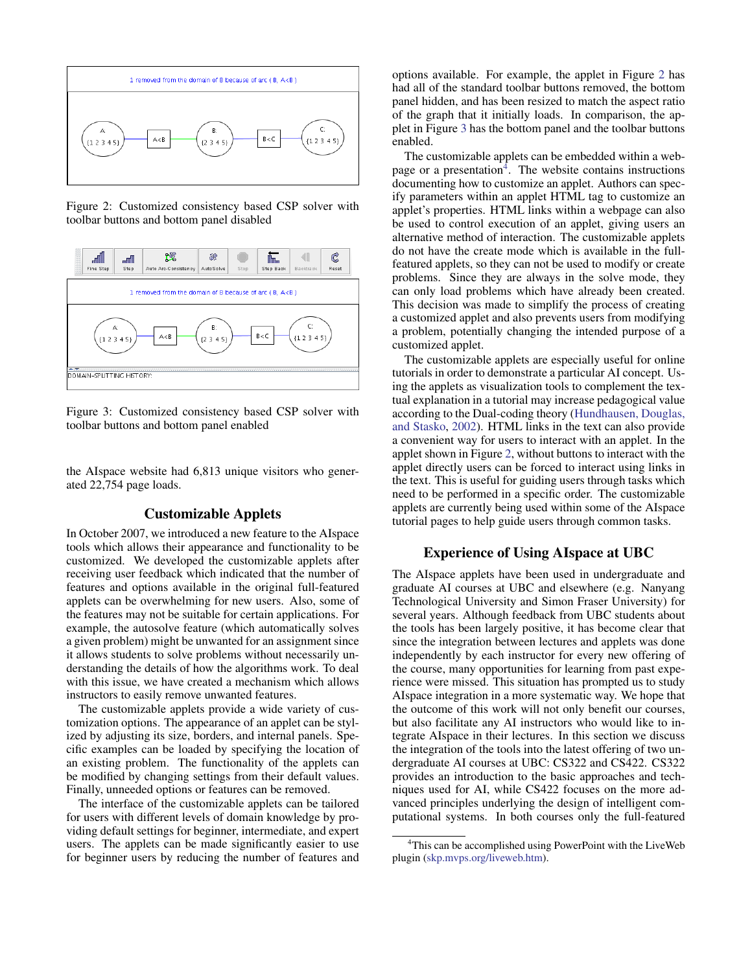

<span id="page-2-0"></span>Figure 2: Customized consistency based CSP solver with toolbar buttons and bottom panel disabled



<span id="page-2-1"></span>Figure 3: Customized consistency based CSP solver with toolbar buttons and bottom panel enabled

the AIspace website had 6,813 unique visitors who generated 22,754 page loads.

## Customizable Applets

In October 2007, we introduced a new feature to the AIspace tools which allows their appearance and functionality to be customized. We developed the customizable applets after receiving user feedback which indicated that the number of features and options available in the original full-featured applets can be overwhelming for new users. Also, some of the features may not be suitable for certain applications. For example, the autosolve feature (which automatically solves a given problem) might be unwanted for an assignment since it allows students to solve problems without necessarily understanding the details of how the algorithms work. To deal with this issue, we have created a mechanism which allows instructors to easily remove unwanted features.

The customizable applets provide a wide variety of customization options. The appearance of an applet can be stylized by adjusting its size, borders, and internal panels. Specific examples can be loaded by specifying the location of an existing problem. The functionality of the applets can be modified by changing settings from their default values. Finally, unneeded options or features can be removed.

The interface of the customizable applets can be tailored for users with different levels of domain knowledge by providing default settings for beginner, intermediate, and expert users. The applets can be made significantly easier to use for beginner users by reducing the number of features and options available. For example, the applet in Figure [2](#page-2-0) has had all of the standard toolbar buttons removed, the bottom panel hidden, and has been resized to match the aspect ratio of the graph that it initially loads. In comparison, the applet in Figure [3](#page-2-1) has the bottom panel and the toolbar buttons enabled.

The customizable applets can be embedded within a web-page or a presentation<sup>[4](#page-2-2)</sup>. The website contains instructions documenting how to customize an applet. Authors can specify parameters within an applet HTML tag to customize an applet's properties. HTML links within a webpage can also be used to control execution of an applet, giving users an alternative method of interaction. The customizable applets do not have the create mode which is available in the fullfeatured applets, so they can not be used to modify or create problems. Since they are always in the solve mode, they can only load problems which have already been created. This decision was made to simplify the process of creating a customized applet and also prevents users from modifying a problem, potentially changing the intended purpose of a customized applet.

The customizable applets are especially useful for online tutorials in order to demonstrate a particular AI concept. Using the applets as visualization tools to complement the textual explanation in a tutorial may increase pedagogical value according to the Dual-coding theory [\(Hundhausen, Douglas,](#page-5-4) [and Stasko,](#page-5-4) [2002\)](#page-5-4). HTML links in the text can also provide a convenient way for users to interact with an applet. In the applet shown in Figure [2,](#page-2-0) without buttons to interact with the applet directly users can be forced to interact using links in the text. This is useful for guiding users through tasks which need to be performed in a specific order. The customizable applets are currently being used within some of the AIspace tutorial pages to help guide users through common tasks.

### Experience of Using AIspace at UBC

The AIspace applets have been used in undergraduate and graduate AI courses at UBC and elsewhere (e.g. Nanyang Technological University and Simon Fraser University) for several years. Although feedback from UBC students about the tools has been largely positive, it has become clear that since the integration between lectures and applets was done independently by each instructor for every new offering of the course, many opportunities for learning from past experience were missed. This situation has prompted us to study AIspace integration in a more systematic way. We hope that the outcome of this work will not only benefit our courses, but also facilitate any AI instructors who would like to integrate AIspace in their lectures. In this section we discuss the integration of the tools into the latest offering of two undergraduate AI courses at UBC: CS322 and CS422. CS322 provides an introduction to the basic approaches and techniques used for AI, while CS422 focuses on the more advanced principles underlying the design of intelligent computational systems. In both courses only the full-featured

<span id="page-2-2"></span><sup>&</sup>lt;sup>4</sup>This can be accomplished using PowerPoint with the LiveWeb plugin [\(skp.mvps.org/liveweb.htm\)](http://skp.mvps.org/liveweb.htm).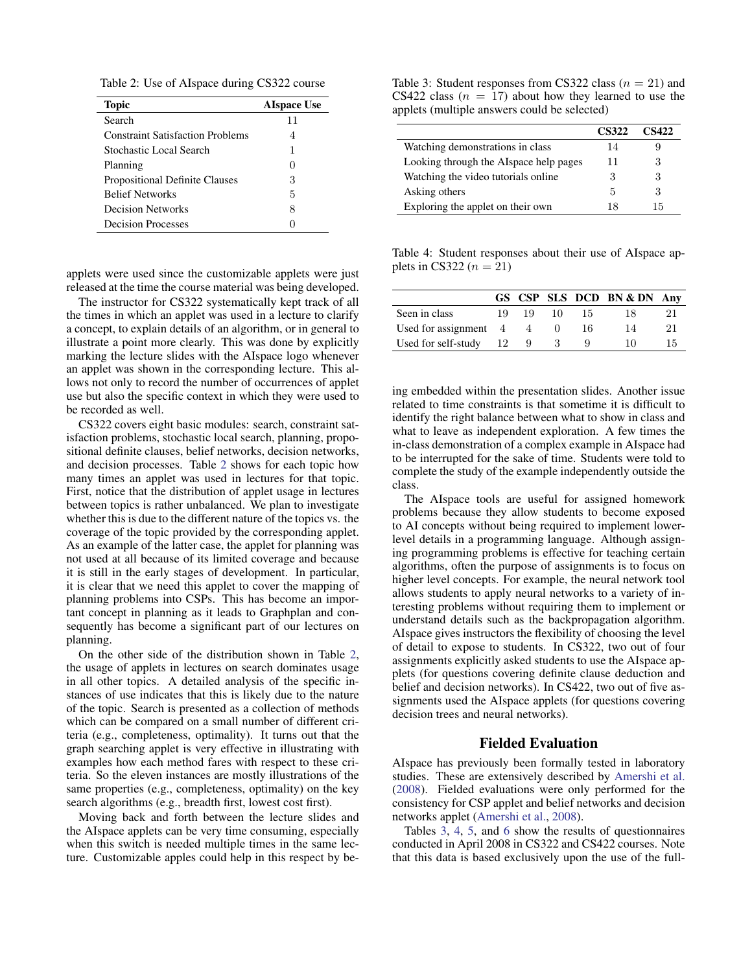<span id="page-3-1"></span>Table 2: Use of AIspace during CS322 course

| <b>Topic</b>                            | <b>AIspace Use</b> |
|-----------------------------------------|--------------------|
| Search                                  | 11                 |
| <b>Constraint Satisfaction Problems</b> | 4                  |
| Stochastic Local Search                 | 1                  |
| Planning                                | $\mathbf{0}$       |
| Propositional Definite Clauses          | 3                  |
| <b>Belief Networks</b>                  | 5                  |
| <b>Decision Networks</b>                | 8                  |
| <b>Decision Processes</b>               |                    |

applets were used since the customizable applets were just released at the time the course material was being developed.

The instructor for CS322 systematically kept track of all the times in which an applet was used in a lecture to clarify a concept, to explain details of an algorithm, or in general to illustrate a point more clearly. This was done by explicitly marking the lecture slides with the AIspace logo whenever an applet was shown in the corresponding lecture. This allows not only to record the number of occurrences of applet use but also the specific context in which they were used to be recorded as well.

CS322 covers eight basic modules: search, constraint satisfaction problems, stochastic local search, planning, propositional definite clauses, belief networks, decision networks, and decision processes. Table [2](#page-3-1) shows for each topic how many times an applet was used in lectures for that topic. First, notice that the distribution of applet usage in lectures between topics is rather unbalanced. We plan to investigate whether this is due to the different nature of the topics vs. the coverage of the topic provided by the corresponding applet. As an example of the latter case, the applet for planning was not used at all because of its limited coverage and because it is still in the early stages of development. In particular, it is clear that we need this applet to cover the mapping of planning problems into CSPs. This has become an important concept in planning as it leads to Graphplan and consequently has become a significant part of our lectures on planning.

On the other side of the distribution shown in Table [2,](#page-3-1) the usage of applets in lectures on search dominates usage in all other topics. A detailed analysis of the specific instances of use indicates that this is likely due to the nature of the topic. Search is presented as a collection of methods which can be compared on a small number of different criteria (e.g., completeness, optimality). It turns out that the graph searching applet is very effective in illustrating with examples how each method fares with respect to these criteria. So the eleven instances are mostly illustrations of the same properties (e.g., completeness, optimality) on the key search algorithms (e.g., breadth first, lowest cost first).

Moving back and forth between the lecture slides and the AIspace applets can be very time consuming, especially when this switch is needed multiple times in the same lecture. Customizable apples could help in this respect by be-

<span id="page-3-0"></span>Table 3: Student responses from CS322 class  $(n = 21)$  and CS422 class  $(n = 17)$  about how they learned to use the applets (multiple answers could be selected)

|                                        | <b>CS322</b> | CS422 |
|----------------------------------------|--------------|-------|
| Watching demonstrations in class       | 14           |       |
| Looking through the AIspace help pages | 11           | 3     |
| Watching the video tutorials online.   | 3            |       |
| Asking others                          | 5            | 3     |
| Exploring the applet on their own      | 18           | 15    |

<span id="page-3-2"></span>Table 4: Student responses about their use of AIspace applets in CS322  $(n = 21)$ 

|                                       |     |    |    |    | GS CSP SLS DCD BN & DN Any |    |
|---------------------------------------|-----|----|----|----|----------------------------|----|
| Seen in class                         | 19. | 19 | 10 | 15 | 18                         | 21 |
| Used for assignment $\quad 4 \quad 4$ |     |    |    | 16 | 14                         | 21 |
| Used for self-study $12 \quad 9$      |     |    |    |    | 10                         | 15 |

ing embedded within the presentation slides. Another issue related to time constraints is that sometime it is difficult to identify the right balance between what to show in class and what to leave as independent exploration. A few times the in-class demonstration of a complex example in AIspace had to be interrupted for the sake of time. Students were told to complete the study of the example independently outside the class.

The AIspace tools are useful for assigned homework problems because they allow students to become exposed to AI concepts without being required to implement lowerlevel details in a programming language. Although assigning programming problems is effective for teaching certain algorithms, often the purpose of assignments is to focus on higher level concepts. For example, the neural network tool allows students to apply neural networks to a variety of interesting problems without requiring them to implement or understand details such as the backpropagation algorithm. AIspace gives instructors the flexibility of choosing the level of detail to expose to students. In CS322, two out of four assignments explicitly asked students to use the AIspace applets (for questions covering definite clause deduction and belief and decision networks). In CS422, two out of five assignments used the AIspace applets (for questions covering decision trees and neural networks).

#### Fielded Evaluation

AIspace has previously been formally tested in laboratory studies. These are extensively described by [Amershi et al.](#page-5-0) [\(2008\)](#page-5-0). Fielded evaluations were only performed for the consistency for CSP applet and belief networks and decision networks applet [\(Amershi et al.,](#page-5-0) [2008\)](#page-5-0).

Tables [3,](#page-3-0) [4,](#page-3-2) [5,](#page-4-0) and [6](#page-4-1) show the results of questionnaires conducted in April 2008 in CS322 and CS422 courses. Note that this data is based exclusively upon the use of the full-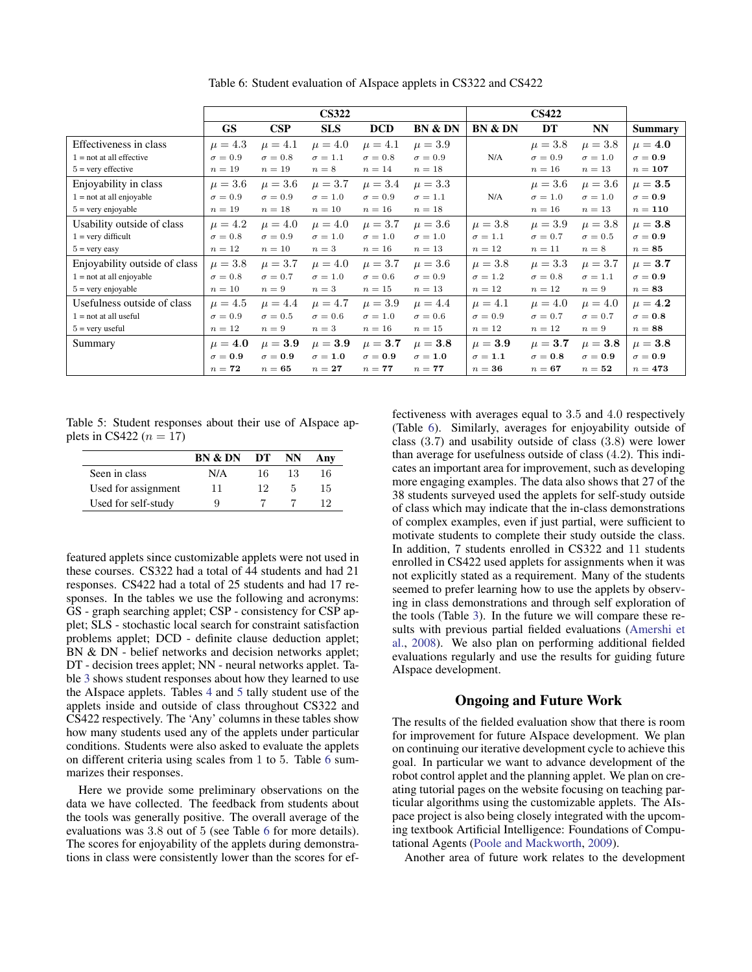|                               | <b>CS322</b>   |                |                |                |                | <b>CS422</b>       |                |                   |                |
|-------------------------------|----------------|----------------|----------------|----------------|----------------|--------------------|----------------|-------------------|----------------|
|                               | <b>GS</b>      | CSP            | <b>SLS</b>     | <b>DCD</b>     | BN & DN        | <b>BN &amp; DN</b> | DT             | <b>NN</b>         | <b>Summary</b> |
| Effectiveness in class        | $\mu = 4.3$    | $\mu = 4.1$    | $\mu = 4.0$    | $\mu = 4.1$    | $\mu = 3.9$    |                    | $\mu = 3.8$    | $\mu = 3.8$       | $\mu = 4.0$    |
| $1 = not at all effective$    | $\sigma = 0.9$ | $\sigma = 0.8$ | $\sigma = 1.1$ | $\sigma = 0.8$ | $\sigma = 0.9$ | N/A                | $\sigma = 0.9$ | $\sigma = 1.0$    | $\sigma=0.9$   |
| $5 =$ very effective          | $n=19$         | $n=19$         | $n=8$          | $n=14$         | $n=18$         |                    | $n=16$         | $n=13$            | $n=107$        |
| Enjoyability in class         | $\mu = 3.6$    | $\mu = 3.6$    | $\mu = 3.7$    | $\mu = 3.4$    | $\mu = 3.3$    |                    | $\mu = 3.6$    | $\mu = 3.6$       | $\mu = 3.5$    |
| $1 = not at all enjoyable$    | $\sigma = 0.9$ | $\sigma = 0.9$ | $\sigma = 1.0$ | $\sigma = 0.9$ | $\sigma = 1.1$ | N/A                | $\sigma = 1.0$ | $\sigma = 1.0$    | $\sigma=0.9$   |
| $5 = \text{very enjoyable}$   | $n=19$         | $n=18$         | $n=10$         | $n=16$         | $n=18$         |                    | $n=16$         | $n=13$            | $n=110$        |
| Usability outside of class    | $\mu = 4.2$    | $\mu = 4.0$    | $\mu = 4.0$    | $\mu = 3.7$    | $\mu = 3.6$    | $\mu = 3.8$        | $\mu = 3.9$    | $\mu = 3.8$       | $\mu = 3.8$    |
| $1 =$ very difficult          | $\sigma = 0.8$ | $\sigma = 0.9$ | $\sigma = 1.0$ | $\sigma = 1.0$ | $\sigma = 1.0$ | $\sigma = 1.1$     | $\sigma = 0.7$ | $\sigma = 0.5$    | $\sigma=0.9$   |
| $5 = \text{very easy}$        | $n=12$         | $n=10$         | $n=3$          | $n=16$         | $n=13$         | $n=12$             | $n=11$         | $n=8$             | $n=85$         |
| Enjoyability outside of class | $\mu = 3.8$    | $\mu = 3.7$    | $\mu = 4.0$    | $\mu = 3.7$    | $\mu = 3.6$    | $\mu = 3.8$        | $\mu = 3.3$    | $\mu = 3.7$       | $\mu = 3.7$    |
| $1 = not at all enjoyable$    | $\sigma = 0.8$ | $\sigma = 0.7$ | $\sigma = 1.0$ | $\sigma = 0.6$ | $\sigma = 0.9$ | $\sigma = 1.2$     | $\sigma = 0.8$ | $\sigma = 1.1$    | $\sigma=0.9$   |
| $5 = \text{very enjoyable}$   | $n=10$         | $n=9$          | $n=3$          | $n=15$         | $n=13$         | $n=12$             | $n=12$         | $n=9$             | $n=83$         |
| Usefulness outside of class   | $\mu = 4.5$    | $\mu = 4.4$    | $\mu = 4.7$    | $\mu = 3.9$    | $\mu = 4.4$    | $\mu = 4.1$        | $\mu = 4.0$    | $\mu = 4.0$       | $\mu = 4.2$    |
| $1 = not at all useful$       | $\sigma = 0.9$ | $\sigma = 0.5$ | $\sigma = 0.6$ | $\sigma = 1.0$ | $\sigma = 0.6$ | $\sigma = 0.9$     | $\sigma = 0.7$ | $\sigma = 0.7$    | $\sigma=0.8$   |
| $5 =$ very useful             | $n=12$         | $n=9$          | $n=3$          | $n=16$         | $n=15$         | $n=12$             | $n=12$         | $n=9$             | $n=88$         |
| Summary                       | $\mu = 4.0$    | $\mu = 3.9$    | $\mu = 3.9$    | $\mu = 3.7$    | $\mu = 3.8$    | $\mu = 3.9$        | $\mu = 3.7$    | $\mu = {\bf 3.8}$ | $\mu = 3.8$    |
|                               | $\sigma=0.9$   | $\sigma=0.9$   | $\sigma = 1.0$ | $\sigma = 0.9$ | $\sigma = 1.0$ | $\sigma = 1.1$     | $\sigma = 0.8$ | $\sigma = 0.9$    | $\sigma = 0.9$ |
|                               | $n=72$         | $n=65$         | $n=27$         | $n=77$         | $n=77$         | $n=36$             | $n=67$         | $n=52$            | $n=473$        |

<span id="page-4-1"></span>Table 6: Student evaluation of AIspace applets in CS322 and CS422

<span id="page-4-0"></span>Table 5: Student responses about their use of AIspace applets in CS422 ( $n = 17$ )

|                     | BN & DN | DT | NN | Anv |
|---------------------|---------|----|----|-----|
| Seen in class       | N/A     | 16 | 13 | 16  |
| Used for assignment | 11      | 19 | 5  | 15  |
| Used for self-study | 9       |    |    | 19  |

featured applets since customizable applets were not used in these courses. CS322 had a total of 44 students and had 21 responses. CS422 had a total of 25 students and had 17 responses. In the tables we use the following and acronyms: GS - graph searching applet; CSP - consistency for CSP applet; SLS - stochastic local search for constraint satisfaction problems applet; DCD - definite clause deduction applet; BN & DN - belief networks and decision networks applet; DT - decision trees applet; NN - neural networks applet. Table [3](#page-3-0) shows student responses about how they learned to use the AIspace applets. Tables [4](#page-3-2) and [5](#page-4-0) tally student use of the applets inside and outside of class throughout CS322 and CS422 respectively. The 'Any' columns in these tables show how many students used any of the applets under particular conditions. Students were also asked to evaluate the applets on different criteria using scales from 1 to 5. Table [6](#page-4-1) summarizes their responses.

Here we provide some preliminary observations on the data we have collected. The feedback from students about the tools was generally positive. The overall average of the evaluations was 3.8 out of 5 (see Table [6](#page-4-1) for more details). The scores for enjoyability of the applets during demonstrations in class were consistently lower than the scores for effectiveness with averages equal to 3.5 and 4.0 respectively (Table [6\)](#page-4-1). Similarly, averages for enjoyability outside of class (3.7) and usability outside of class (3.8) were lower than average for usefulness outside of class (4.2). This indicates an important area for improvement, such as developing more engaging examples. The data also shows that 27 of the 38 students surveyed used the applets for self-study outside of class which may indicate that the in-class demonstrations of complex examples, even if just partial, were sufficient to motivate students to complete their study outside the class. In addition, 7 students enrolled in CS322 and 11 students enrolled in CS422 used applets for assignments when it was not explicitly stated as a requirement. Many of the students seemed to prefer learning how to use the applets by observing in class demonstrations and through self exploration of the tools (Table [3\)](#page-3-0). In the future we will compare these results with previous partial fielded evaluations [\(Amershi et](#page-5-0) [al.,](#page-5-0) [2008\)](#page-5-0). We also plan on performing additional fielded evaluations regularly and use the results for guiding future AIspace development.

# Ongoing and Future Work

The results of the fielded evaluation show that there is room for improvement for future AIspace development. We plan on continuing our iterative development cycle to achieve this goal. In particular we want to advance development of the robot control applet and the planning applet. We plan on creating tutorial pages on the website focusing on teaching particular algorithms using the customizable applets. The AIspace project is also being closely integrated with the upcoming textbook Artificial Intelligence: Foundations of Computational Agents [\(Poole and Mackworth,](#page-5-10) [2009\)](#page-5-10).

Another area of future work relates to the development